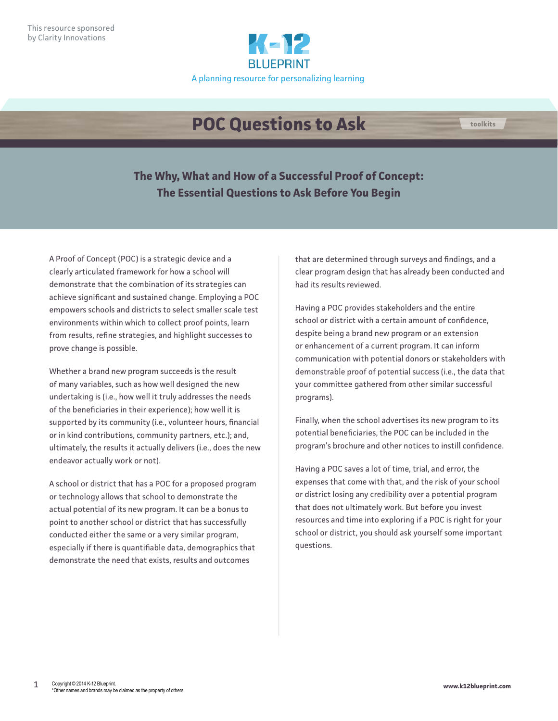

# **POC Questions to Ask <b>the COC** toolkits



A Proof of Concept (POC) is a strategic device and a clearly articulated framework for how a school will demonstrate that the combination of its strategies can achieve significant and sustained change. Employing a POC empowers schools and districts to select smaller scale test environments within which to collect proof points, learn from results, refine strategies, and highlight successes to prove change is possible.

Whether a brand new program succeeds is the result of many variables, such as how well designed the new undertaking is (i.e., how well it truly addresses the needs of the beneficiaries in their experience); how well it is supported by its community (i.e., volunteer hours, financial or in kind contributions, community partners, etc.); and, ultimately, the results it actually delivers (i.e., does the new endeavor actually work or not).

A school or district that has a POC for a proposed program or technology allows that school to demonstrate the actual potential of its new program. It can be a bonus to point to another school or district that has successfully conducted either the same or a very similar program, especially if there is quantifiable data, demographics that demonstrate the need that exists, results and outcomes

that are determined through surveys and findings, and a clear program design that has already been conducted and had its results reviewed.

Having a POC provides stakeholders and the entire school or district with a certain amount of confidence, despite being a brand new program or an extension or enhancement of a current program. It can inform communication with potential donors or stakeholders with demonstrable proof of potential success (i.e., the data that your committee gathered from other similar successful programs).

Finally, when the school advertises its new program to its potential beneficiaries, the POC can be included in the program's brochure and other notices to instill confidence.

Having a POC saves a lot of time, trial, and error, the expenses that come with that, and the risk of your school or district losing any credibility over a potential program that does not ultimately work. But before you invest resources and time into exploring if a POC is right for your school or district, you should ask yourself some important questions.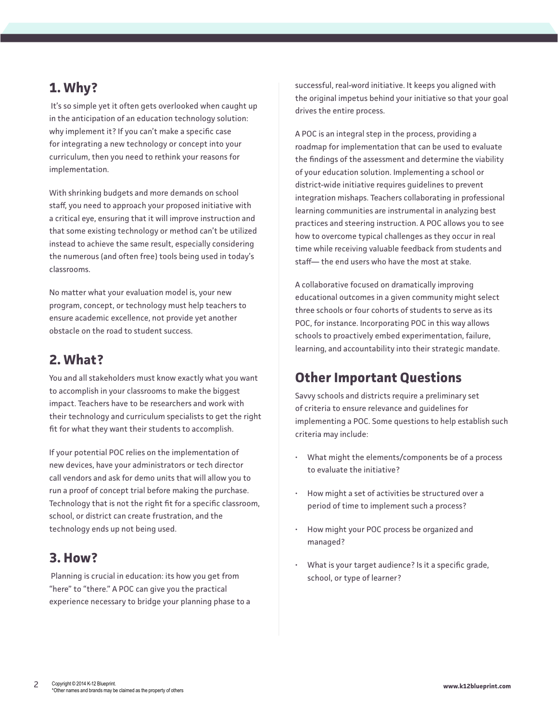## **1. Why?**

 It's so simple yet it often gets overlooked when caught up in the anticipation of an education technology solution: why implement it? If you can't make a specific case for integrating a new technology or concept into your curriculum, then you need to rethink your reasons for implementation.

With shrinking budgets and more demands on school staff, you need to approach your proposed initiative with a critical eye, ensuring that it will improve instruction and that some existing technology or method can't be utilized instead to achieve the same result, especially considering the numerous (and often free) tools being used in today's classrooms.

No matter what your evaluation model is, your new program, concept, or technology must help teachers to ensure academic excellence, not provide yet another obstacle on the road to student success.

### **2. What?**

You and all stakeholders must know exactly what you want to accomplish in your classrooms to make the biggest impact. Teachers have to be researchers and work with their technology and curriculum specialists to get the right fit for what they want their students to accomplish.

If your potential POC relies on the implementation of new devices, have your administrators or tech director call vendors and ask for demo units that will allow you to run a proof of concept trial before making the purchase. Technology that is not the right fit for a specific classroom, school, or district can create frustration, and the technology ends up not being used.

#### **3. How?**

 Planning is crucial in education: its how you get from "here" to "there." A POC can give you the practical experience necessary to bridge your planning phase to a successful, real-word initiative. It keeps you aligned with the original impetus behind your initiative so that your goal drives the entire process.

A POC is an integral step in the process, providing a roadmap for implementation that can be used to evaluate the findings of the assessment and determine the viability of your education solution. Implementing a school or district-wide initiative requires guidelines to prevent integration mishaps. Teachers collaborating in professional learning communities are instrumental in analyzing best practices and steering instruction. A POC allows you to see how to overcome typical challenges as they occur in real time while receiving valuable feedback from students and staff— the end users who have the most at stake.

A collaborative focused on dramatically improving educational outcomes in a given community might select three schools or four cohorts of students to serve as its POC, for instance. Incorporating POC in this way allows schools to proactively embed experimentation, failure, learning, and accountability into their strategic mandate.

## **Other Important Questions**

Savvy schools and districts require a preliminary set of criteria to ensure relevance and guidelines for implementing a POC. Some questions to help establish such criteria may include:

- What might the elements/components be of a process to evaluate the initiative?
- How might a set of activities be structured over a period of time to implement such a process?
- How might your POC process be organized and managed?
- What is your target audience? Is it a specific grade, school, or type of learner?